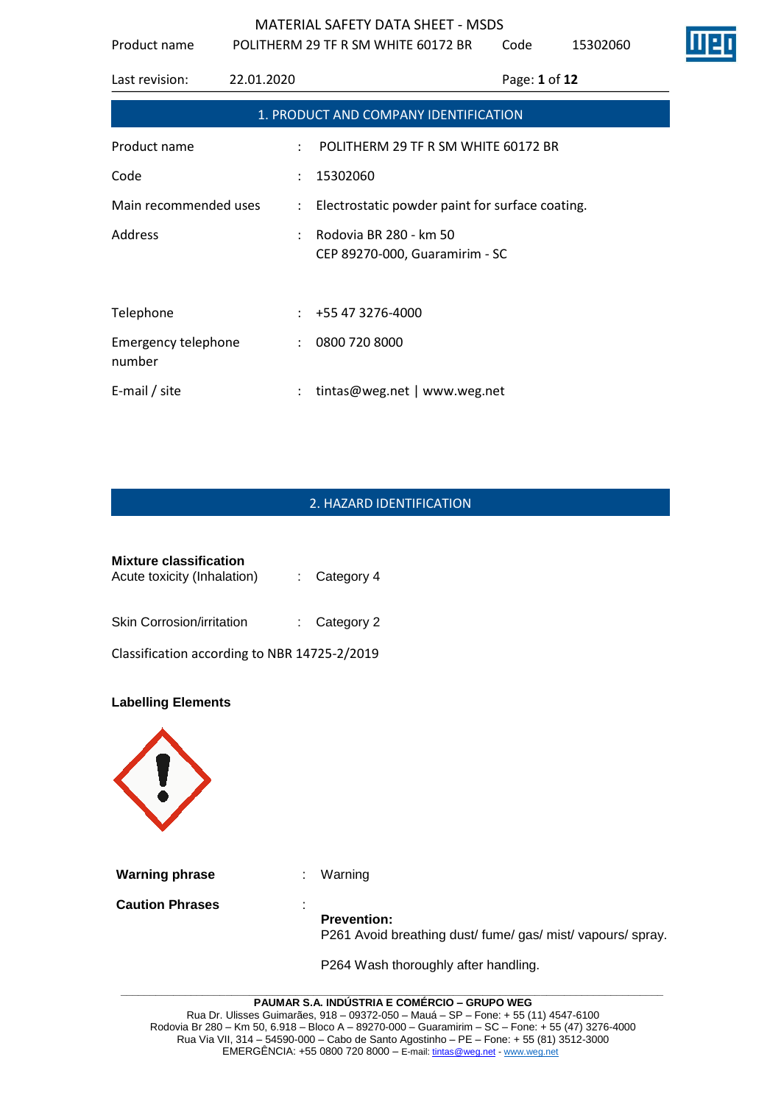Product name POLITHERM 29 TF R SM WHITE 60172 BR Code 15302060

| Last revision:                       | 22.01.2020           | Page: 1 of 12                                            |
|--------------------------------------|----------------------|----------------------------------------------------------|
|                                      |                      | 1. PRODUCT AND COMPANY IDENTIFICATION                    |
| Product name                         | ÷                    | POLITHERM 29 TF R SM WHITE 60172 BR                      |
| Code                                 | $\ddot{\cdot}$       | 15302060                                                 |
| Main recommended uses                | $\ddot{\phantom{a}}$ | Electrostatic powder paint for surface coating.          |
| Address                              | $\ddot{\phantom{a}}$ | Rodovia BR 280 - km 50<br>CEP 89270-000, Guaramirim - SC |
| Telephone                            |                      | $\div$ +55 47 3276-4000                                  |
| <b>Emergency telephone</b><br>number | $\ddot{\phantom{a}}$ | 0800 720 8000                                            |
| E-mail / site                        |                      | tintas@weg.net   www.weg.net                             |

# 2. HAZARD IDENTIFICATION

| <b>Mixture classification</b><br>Acute toxicity (Inhalation) | $\therefore$ Category 4 |
|--------------------------------------------------------------|-------------------------|
| <b>Skin Corrosion/irritation</b>                             | $\therefore$ Category 2 |
| Classification according to NBR 14725-2/2019                 |                         |

## **Labelling Elements**

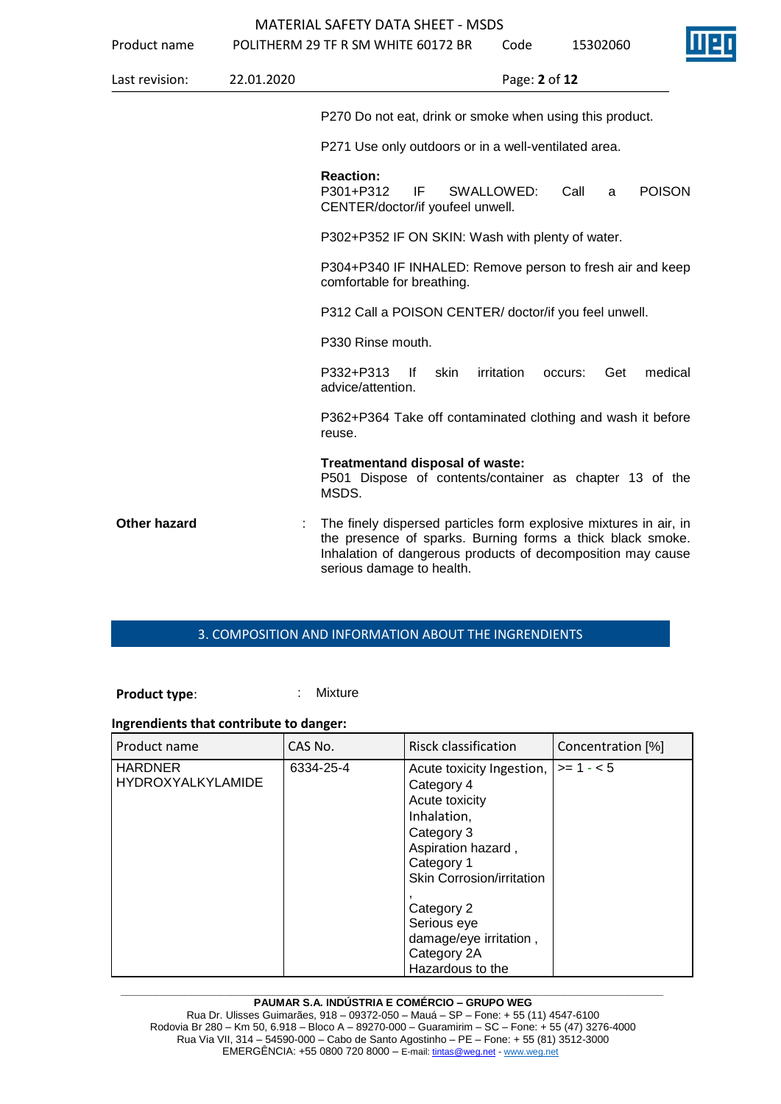| Product name   |            | POLITHERM 29 TF R SM WHITE 60172 BR                                                                                                                                                                                         | Code          | 15302060       | шв            |
|----------------|------------|-----------------------------------------------------------------------------------------------------------------------------------------------------------------------------------------------------------------------------|---------------|----------------|---------------|
| Last revision: | 22.01.2020 |                                                                                                                                                                                                                             | Page: 2 of 12 |                |               |
|                |            | P270 Do not eat, drink or smoke when using this product.                                                                                                                                                                    |               |                |               |
|                |            | P271 Use only outdoors or in a well-ventilated area.                                                                                                                                                                        |               |                |               |
|                |            | <b>Reaction:</b><br>P301+P312<br>IF<br>CENTER/doctor/if youfeel unwell.                                                                                                                                                     | SWALLOWED:    | Call<br>a      | <b>POISON</b> |
|                |            | P302+P352 IF ON SKIN: Wash with plenty of water.                                                                                                                                                                            |               |                |               |
|                |            | P304+P340 IF INHALED: Remove person to fresh air and keep<br>comfortable for breathing.                                                                                                                                     |               |                |               |
|                |            | P312 Call a POISON CENTER/ doctor/if you feel unwell.                                                                                                                                                                       |               |                |               |
|                |            | P330 Rinse mouth.                                                                                                                                                                                                           |               |                |               |
|                |            | P332+P313<br>skin<br>Ιf<br>advice/attention.                                                                                                                                                                                | irritation    | Get<br>occurs: | medical       |
|                |            | P362+P364 Take off contaminated clothing and wash it before<br>reuse.                                                                                                                                                       |               |                |               |
|                |            | Treatmentand disposal of waste:<br>P501 Dispose of contents/container as chapter 13 of the<br>MSDS.                                                                                                                         |               |                |               |
| Other hazard   |            | The finely dispersed particles form explosive mixtures in air, in<br>the presence of sparks. Burning forms a thick black smoke.<br>Inhalation of dangerous products of decomposition may cause<br>serious damage to health. |               |                |               |

# 3. COMPOSITION AND INFORMATION ABOUT THE INGRENDIENTS

**Product type:** : Mixture

#### **Ingrendients that contribute to danger:**

| Product name                        | CAS No.   | Risck classification                                                                                                                                    | Concentration [%] |
|-------------------------------------|-----------|---------------------------------------------------------------------------------------------------------------------------------------------------------|-------------------|
| <b>HARDNER</b><br>HYDROXYALKYLAMIDE | 6334-25-4 | Acute toxicity Ingestion,<br>Category 4<br>Acute toxicity<br>Inhalation,<br>Category 3<br>Aspiration hazard,<br>Category 1<br>Skin Corrosion/irritation | $>= 1 - 5$        |
|                                     |           | Category 2<br>Serious eye<br>damage/eye irritation,<br>Category 2A<br>Hazardous to the                                                                  |                   |

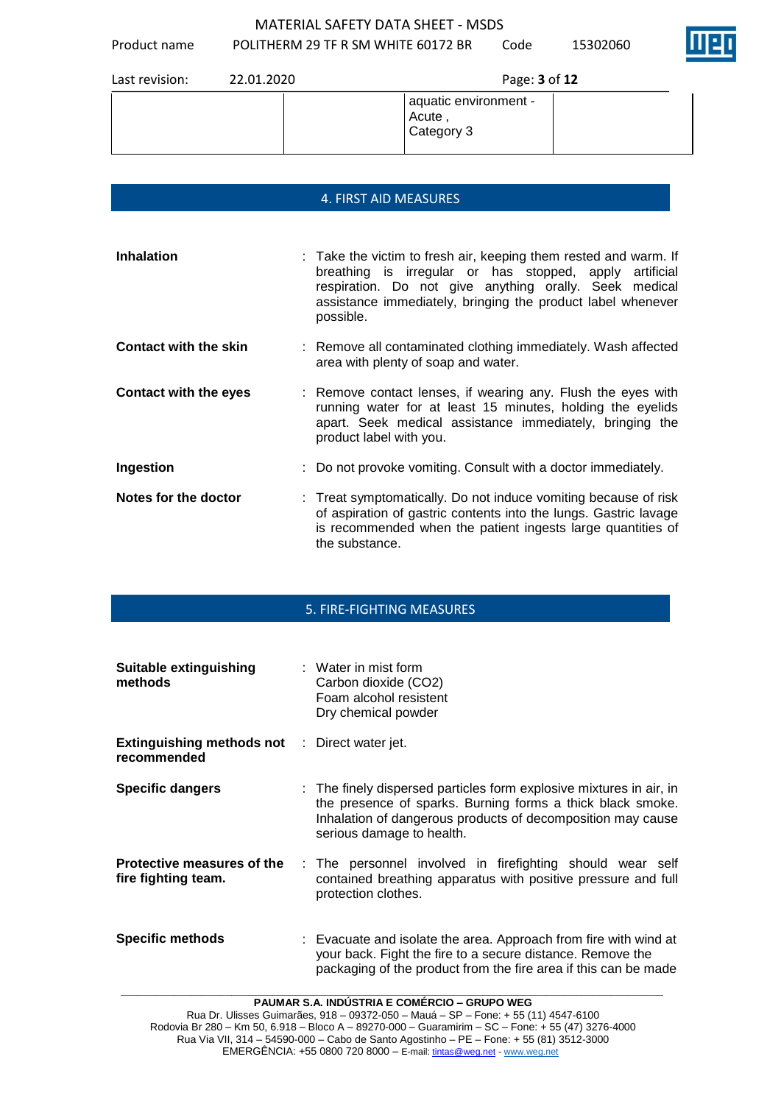Product name POLITHERM 29 TF R SM WHITE 60172 BR Code 15302060



| Last revision: | 22.01.2020 | Page: <b>3</b> of 12                           |  |
|----------------|------------|------------------------------------------------|--|
|                |            | aquatic environment -<br>, Acute<br>Category 3 |  |

# 4. FIRST AID MEASURES

| <b>Inhalation</b>            | : Take the victim to fresh air, keeping them rested and warm. If<br>breathing is irregular or has stopped, apply artificial<br>respiration. Do not give anything orally. Seek medical<br>assistance immediately, bringing the product label whenever<br>possible. |
|------------------------------|-------------------------------------------------------------------------------------------------------------------------------------------------------------------------------------------------------------------------------------------------------------------|
| <b>Contact with the skin</b> | : Remove all contaminated clothing immediately. Wash affected<br>area with plenty of soap and water.                                                                                                                                                              |
| <b>Contact with the eyes</b> | : Remove contact lenses, if wearing any. Flush the eyes with<br>running water for at least 15 minutes, holding the eyelids<br>apart. Seek medical assistance immediately, bringing the<br>product label with you.                                                 |
| Ingestion                    | : Do not provoke vomiting. Consult with a doctor immediately.                                                                                                                                                                                                     |
| Notes for the doctor         | : Treat symptomatically. Do not induce vomiting because of risk<br>of aspiration of gastric contents into the lungs. Gastric lavage<br>is recommended when the patient ingests large quantities of<br>the substance.                                              |

# 5. FIRE-FIGHTING MEASURES

| <b>Suitable extinguishing</b><br>methods                            | $\therefore$ Water in mist form<br>Carbon dioxide (CO2)<br>Foam alcohol resistent<br>Dry chemical powder                                                                                                                      |
|---------------------------------------------------------------------|-------------------------------------------------------------------------------------------------------------------------------------------------------------------------------------------------------------------------------|
| <b>Extinguishing methods not</b> : Direct water jet.<br>recommended |                                                                                                                                                                                                                               |
| <b>Specific dangers</b>                                             | : The finely dispersed particles form explosive mixtures in air, in<br>the presence of sparks. Burning forms a thick black smoke.<br>Inhalation of dangerous products of decomposition may cause<br>serious damage to health. |
| Protective measures of the<br>fire fighting team.                   | : The personnel involved in firefighting should wear self<br>contained breathing apparatus with positive pressure and full<br>protection clothes.                                                                             |
| <b>Specific methods</b>                                             | : Evacuate and isolate the area. Approach from fire with wind at<br>your back. Fight the fire to a secure distance. Remove the<br>packaging of the product from the fire area if this can be made                             |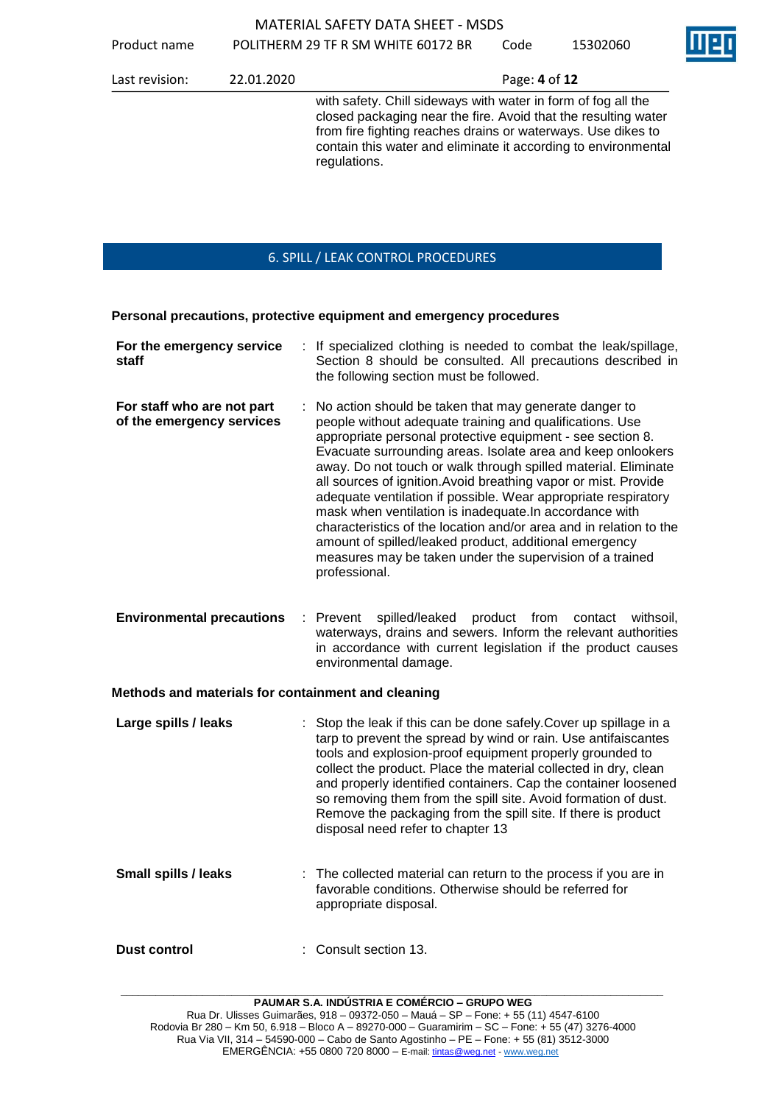| Last revision: | 22.01.2020 | Page: 4 of 12 |
|----------------|------------|---------------|

with safety. Chill sideways with water in form of fog all the closed packaging near the fire. Avoid that the resulting water from fire fighting reaches drains or waterways. Use dikes to contain this water and eliminate it according to environmental regulations.

# 6. SPILL / LEAK CONTROL PROCEDURES

**Personal precautions, protective equipment and emergency procedures**

| For staff who are not part<br>No action should be taken that may generate danger to<br>people without adequate training and qualifications. Use<br>of the emergency services<br>appropriate personal protective equipment - see section 8.<br>Evacuate surrounding areas. Isolate area and keep onlookers<br>away. Do not touch or walk through spilled material. Eliminate<br>all sources of ignition. Avoid breathing vapor or mist. Provide<br>adequate ventilation if possible. Wear appropriate respiratory<br>mask when ventilation is inadequate. In accordance with<br>amount of spilled/leaked product, additional emergency<br>measures may be taken under the supervision of a trained<br>professional.<br><b>Environmental precautions</b><br>: Prevent<br>spilled/leaked product from<br>contact<br>environmental damage.<br>Methods and materials for containment and cleaning<br>Large spills / leaks<br>: Stop the leak if this can be done safely. Cover up spillage in a<br>tarp to prevent the spread by wind or rain. Use antifaiscantes<br>tools and explosion-proof equipment properly grounded to<br>collect the product. Place the material collected in dry, clean<br>so removing them from the spill site. Avoid formation of dust.<br>Remove the packaging from the spill site. If there is product<br>disposal need refer to chapter 13<br><b>Small spills / leaks</b><br>: The collected material can return to the process if you are in<br>favorable conditions. Otherwise should be referred for<br>appropriate disposal.<br>Consult section 13.<br><b>Dust control</b> | characteristics of the location and/or area and in relation to the<br>withsoil.<br>waterways, drains and sewers. Inform the relevant authorities<br>in accordance with current legislation if the product causes<br>and properly identified containers. Cap the container loosened | For the emergency service<br>staff | : If specialized clothing is needed to combat the leak/spillage,<br>Section 8 should be consulted. All precautions described in<br>the following section must be followed. |
|---------------------------------------------------------------------------------------------------------------------------------------------------------------------------------------------------------------------------------------------------------------------------------------------------------------------------------------------------------------------------------------------------------------------------------------------------------------------------------------------------------------------------------------------------------------------------------------------------------------------------------------------------------------------------------------------------------------------------------------------------------------------------------------------------------------------------------------------------------------------------------------------------------------------------------------------------------------------------------------------------------------------------------------------------------------------------------------------------------------------------------------------------------------------------------------------------------------------------------------------------------------------------------------------------------------------------------------------------------------------------------------------------------------------------------------------------------------------------------------------------------------------------------------------------------------------------------------------------------|------------------------------------------------------------------------------------------------------------------------------------------------------------------------------------------------------------------------------------------------------------------------------------|------------------------------------|----------------------------------------------------------------------------------------------------------------------------------------------------------------------------|
|                                                                                                                                                                                                                                                                                                                                                                                                                                                                                                                                                                                                                                                                                                                                                                                                                                                                                                                                                                                                                                                                                                                                                                                                                                                                                                                                                                                                                                                                                                                                                                                                         |                                                                                                                                                                                                                                                                                    |                                    |                                                                                                                                                                            |
|                                                                                                                                                                                                                                                                                                                                                                                                                                                                                                                                                                                                                                                                                                                                                                                                                                                                                                                                                                                                                                                                                                                                                                                                                                                                                                                                                                                                                                                                                                                                                                                                         |                                                                                                                                                                                                                                                                                    |                                    |                                                                                                                                                                            |
|                                                                                                                                                                                                                                                                                                                                                                                                                                                                                                                                                                                                                                                                                                                                                                                                                                                                                                                                                                                                                                                                                                                                                                                                                                                                                                                                                                                                                                                                                                                                                                                                         |                                                                                                                                                                                                                                                                                    |                                    |                                                                                                                                                                            |
|                                                                                                                                                                                                                                                                                                                                                                                                                                                                                                                                                                                                                                                                                                                                                                                                                                                                                                                                                                                                                                                                                                                                                                                                                                                                                                                                                                                                                                                                                                                                                                                                         |                                                                                                                                                                                                                                                                                    |                                    |                                                                                                                                                                            |
|                                                                                                                                                                                                                                                                                                                                                                                                                                                                                                                                                                                                                                                                                                                                                                                                                                                                                                                                                                                                                                                                                                                                                                                                                                                                                                                                                                                                                                                                                                                                                                                                         |                                                                                                                                                                                                                                                                                    |                                    |                                                                                                                                                                            |
|                                                                                                                                                                                                                                                                                                                                                                                                                                                                                                                                                                                                                                                                                                                                                                                                                                                                                                                                                                                                                                                                                                                                                                                                                                                                                                                                                                                                                                                                                                                                                                                                         |                                                                                                                                                                                                                                                                                    |                                    |                                                                                                                                                                            |

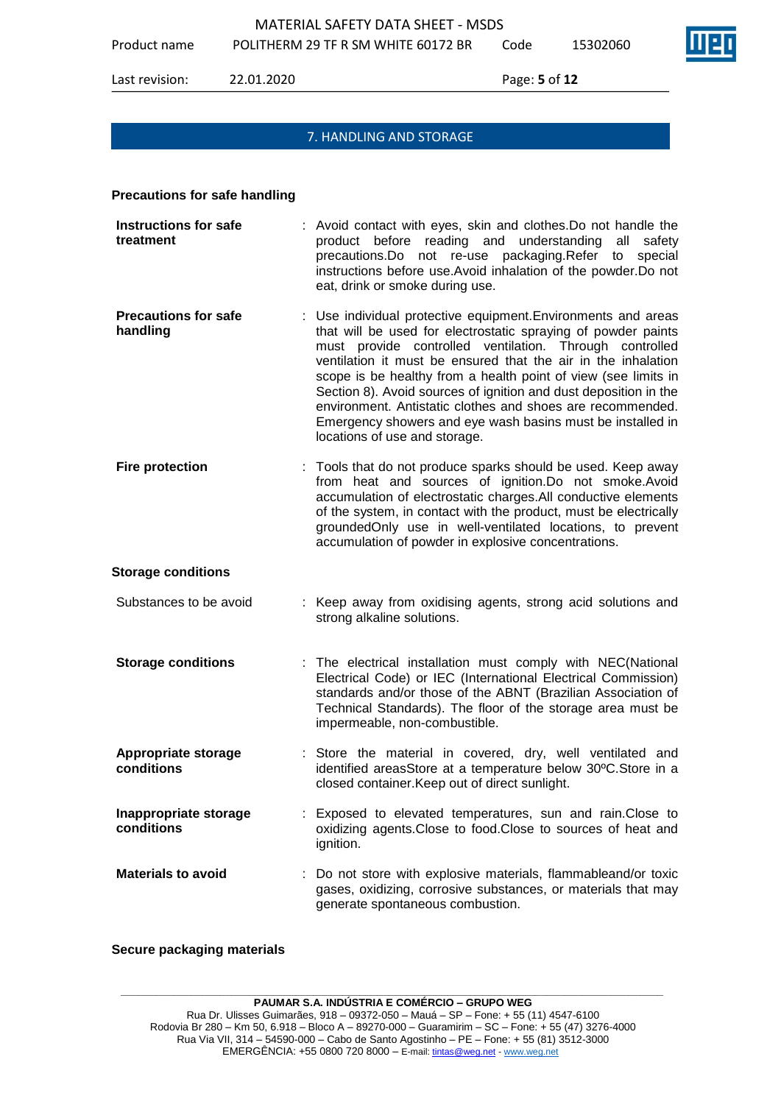Product name POLITHERM 29 TF R SM WHITE 60172 BR Code 15302060



Last revision: 22.01.2020 Page: **5** of **12**

# 7. HANDLING AND STORAGE

#### **Precautions for safe handling**

| <b>Instructions for safe</b><br>treatment | : Avoid contact with eyes, skin and clothes. Do not handle the<br>product before reading and understanding all safety<br>precautions.Do not re-use packaging.Refer to<br>special<br>instructions before use. Avoid inhalation of the powder. Do not<br>eat, drink or smoke during use.                                                                                                                                                                                                                                                                        |
|-------------------------------------------|---------------------------------------------------------------------------------------------------------------------------------------------------------------------------------------------------------------------------------------------------------------------------------------------------------------------------------------------------------------------------------------------------------------------------------------------------------------------------------------------------------------------------------------------------------------|
| <b>Precautions for safe</b><br>handling   | : Use individual protective equipment. Environments and areas<br>that will be used for electrostatic spraying of powder paints<br>must provide controlled ventilation. Through controlled<br>ventilation it must be ensured that the air in the inhalation<br>scope is be healthy from a health point of view (see limits in<br>Section 8). Avoid sources of ignition and dust deposition in the<br>environment. Antistatic clothes and shoes are recommended.<br>Emergency showers and eye wash basins must be installed in<br>locations of use and storage. |
| <b>Fire protection</b>                    | : Tools that do not produce sparks should be used. Keep away<br>from heat and sources of ignition.Do not smoke.Avoid<br>accumulation of electrostatic charges.All conductive elements<br>of the system, in contact with the product, must be electrically<br>groundedOnly use in well-ventilated locations, to prevent<br>accumulation of powder in explosive concentrations.                                                                                                                                                                                 |
| <b>Storage conditions</b>                 |                                                                                                                                                                                                                                                                                                                                                                                                                                                                                                                                                               |
| Substances to be avoid                    | : Keep away from oxidising agents, strong acid solutions and<br>strong alkaline solutions.                                                                                                                                                                                                                                                                                                                                                                                                                                                                    |
| <b>Storage conditions</b>                 | : The electrical installation must comply with NEC(National<br>Electrical Code) or IEC (International Electrical Commission)<br>standards and/or those of the ABNT (Brazilian Association of<br>Technical Standards). The floor of the storage area must be<br>impermeable, non-combustible.                                                                                                                                                                                                                                                                  |
| <b>Appropriate storage</b><br>conditions  | : Store the material in covered, dry, well ventilated and<br>identified areasStore at a temperature below 30°C.Store in a<br>closed container. Keep out of direct sunlight.                                                                                                                                                                                                                                                                                                                                                                                   |
| Inappropriate storage<br>conditions       | Exposed to elevated temperatures, sun and rain.Close to<br>oxidizing agents. Close to food. Close to sources of heat and<br>ignition.                                                                                                                                                                                                                                                                                                                                                                                                                         |
| <b>Materials to avoid</b>                 | Do not store with explosive materials, flammableand/or toxic<br>gases, oxidizing, corrosive substances, or materials that may<br>generate spontaneous combustion.                                                                                                                                                                                                                                                                                                                                                                                             |

### **Secure packaging materials**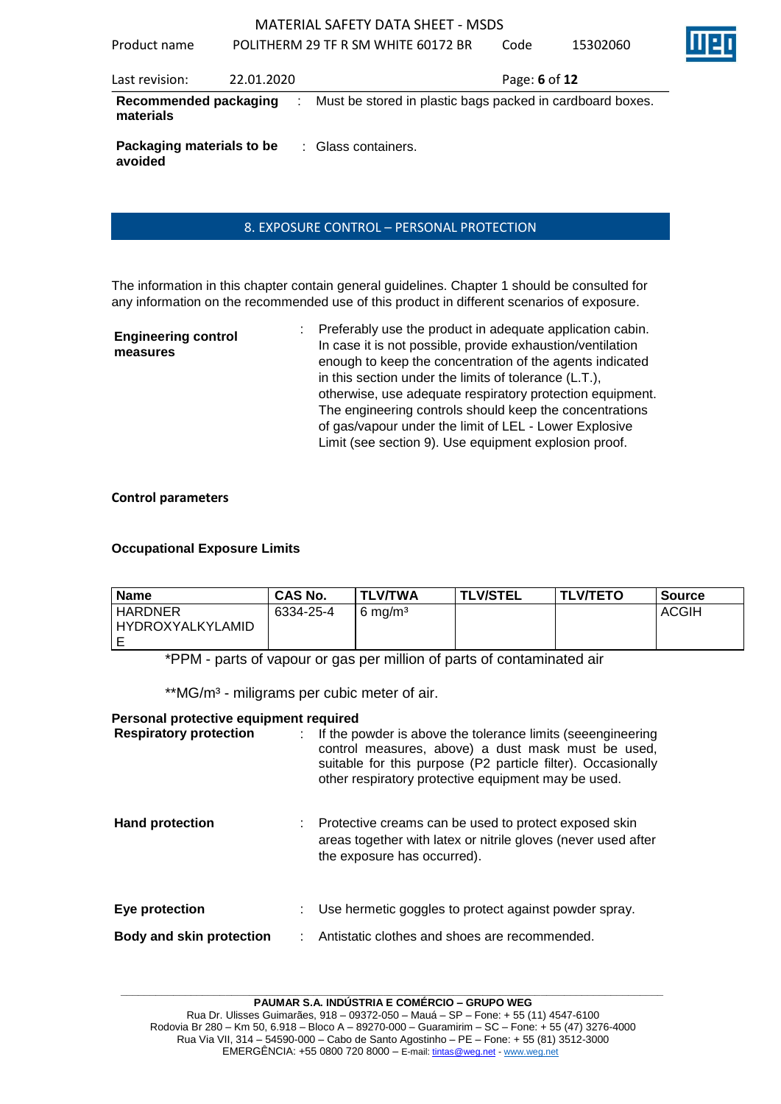Product name POLITHERM 29 TF R SM WHITE 60172 BR Code 15302060

| Last revision:                       | 22.01.2020 | Page: 6 of 12                                               |  |
|--------------------------------------|------------|-------------------------------------------------------------|--|
| Recommended packaging<br>materials   |            | : Must be stored in plastic bags packed in cardboard boxes. |  |
| Packaging materials to be<br>avoided |            | : Glass containers.                                         |  |

# 8. EXPOSURE CONTROL – PERSONAL PROTECTION

The information in this chapter contain general guidelines. Chapter 1 should be consulted for any information on the recommended use of this product in different scenarios of exposure.

| <b>Engineering control</b><br>measures | Preferably use the product in adequate application cabin.<br>In case it is not possible, provide exhaustion/ventilation<br>enough to keep the concentration of the agents indicated<br>in this section under the limits of tolerance (L.T.),<br>otherwise, use adequate respiratory protection equipment.<br>The engineering controls should keep the concentrations<br>of gas/vapour under the limit of LEL - Lower Explosive<br>Limit (see section 9). Use equipment explosion proof. |
|----------------------------------------|-----------------------------------------------------------------------------------------------------------------------------------------------------------------------------------------------------------------------------------------------------------------------------------------------------------------------------------------------------------------------------------------------------------------------------------------------------------------------------------------|
|----------------------------------------|-----------------------------------------------------------------------------------------------------------------------------------------------------------------------------------------------------------------------------------------------------------------------------------------------------------------------------------------------------------------------------------------------------------------------------------------------------------------------------------------|

#### **Control parameters**

#### **Occupational Exposure Limits**

| <b>Name</b>                          | <b>CAS No.</b> | <b>TLV/TWA</b>     | <b>TLV/STEL</b> | <b>TLV/TETO</b> | Source       |
|--------------------------------------|----------------|--------------------|-----------------|-----------------|--------------|
| <b>HARDNER</b><br>l HYDROXYALKYLAMID | 6334-25-4      | $6 \text{ mg/m}^3$ |                 |                 | <b>ACGIH</b> |

\*PPM - parts of vapour or gas per million of parts of contaminated air

\*\*MG/m<sup>3</sup> - miligrams per cubic meter of air.

#### **Personal protective equipment required**

| <b>Respiratory protection</b>   | If the powder is above the tolerance limits (seeengineering<br>control measures, above) a dust mask must be used,<br>suitable for this purpose (P2 particle filter). Occasionally<br>other respiratory protective equipment may be used. |
|---------------------------------|------------------------------------------------------------------------------------------------------------------------------------------------------------------------------------------------------------------------------------------|
| <b>Hand protection</b>          | Protective creams can be used to protect exposed skin<br>areas together with latex or nitrile gloves (never used after<br>the exposure has occurred).                                                                                    |
| Eye protection                  | Use hermetic goggles to protect against powder spray.                                                                                                                                                                                    |
| <b>Body and skin protection</b> | Antistatic clothes and shoes are recommended.                                                                                                                                                                                            |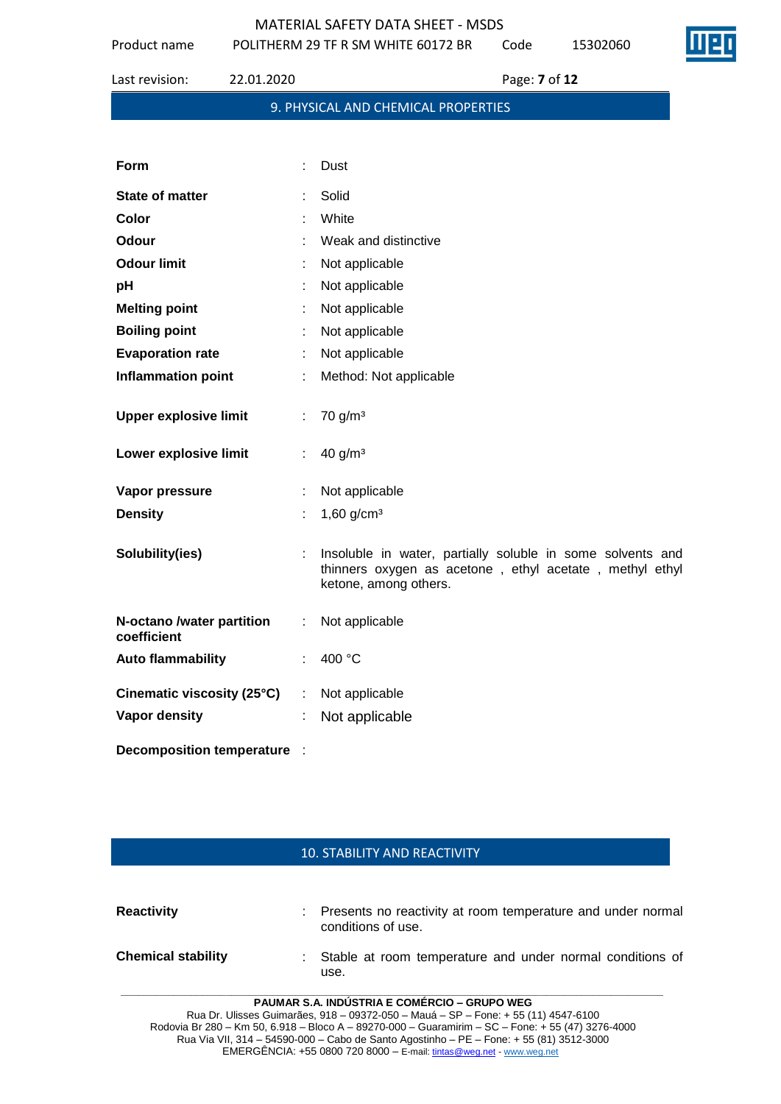Product name POLITHERM 29 TF R SM WHITE 60172 BR Code 15302060

| Last revision:                           | 22.01.2020 | Page: 7 of 12                                                                                                                                  |
|------------------------------------------|------------|------------------------------------------------------------------------------------------------------------------------------------------------|
|                                          |            | 9. PHYSICAL AND CHEMICAL PROPERTIES                                                                                                            |
|                                          |            |                                                                                                                                                |
| Form                                     |            | Dust                                                                                                                                           |
| <b>State of matter</b>                   |            | Solid                                                                                                                                          |
| Color                                    |            | White                                                                                                                                          |
| <b>Odour</b>                             |            | Weak and distinctive                                                                                                                           |
| <b>Odour limit</b>                       |            | Not applicable                                                                                                                                 |
| pH                                       |            | Not applicable                                                                                                                                 |
| <b>Melting point</b>                     |            | Not applicable                                                                                                                                 |
| <b>Boiling point</b>                     |            | Not applicable                                                                                                                                 |
| <b>Evaporation rate</b>                  |            | Not applicable                                                                                                                                 |
| <b>Inflammation point</b>                |            | Method: Not applicable                                                                                                                         |
| <b>Upper explosive limit</b>             | ÷.         | 70 g/m <sup>3</sup>                                                                                                                            |
| Lower explosive limit                    |            | 40 g/m <sup>3</sup>                                                                                                                            |
| Vapor pressure                           | t.         | Not applicable                                                                                                                                 |
| <b>Density</b>                           |            | 1,60 $g/cm^{3}$                                                                                                                                |
| Solubility(ies)                          | t.         | Insoluble in water, partially soluble in some solvents and<br>thinners oxygen as acetone, ethyl acetate, methyl ethyl<br>ketone, among others. |
| N-octano /water partition<br>coefficient | ÷          | Not applicable                                                                                                                                 |

**Auto flammability** : 400 °C **Cinematic viscosity (25°C)** : Not applicable **Vapor density** : Not applicable

**Decomposition temperature** :

# 10. STABILITY AND REACTIVITY

| <b>Reactivity</b>         | Presents no reactivity at room temperature and under normal<br>conditions of use. |
|---------------------------|-----------------------------------------------------------------------------------|
| <b>Chemical stability</b> | : Stable at room temperature and under normal conditions of<br>use.               |

**PAUMAR S.A. INDÚSTRIA E COMÉRCIO – GRUPO WEG** Rua Dr. Ulisses Guimarães, 918 – 09372-050 – Mauá – SP – Fone: + 55 (11) 4547-6100 Rodovia Br 280 – Km 50, 6.918 – Bloco A – 89270-000 – Guaramirim – SC – Fone: + 55 (47) 3276-4000 Rua Via VII, 314 – 54590-000 – Cabo de Santo Agostinho – PE – Fone: + 55 (81) 3512-3000 EMERGËNCIA: +55 0800 720 8000 – E-mail[: tintas@weg.net](mailto:tintas@weg.net) - [www.weg.net](http://www.weg.net/)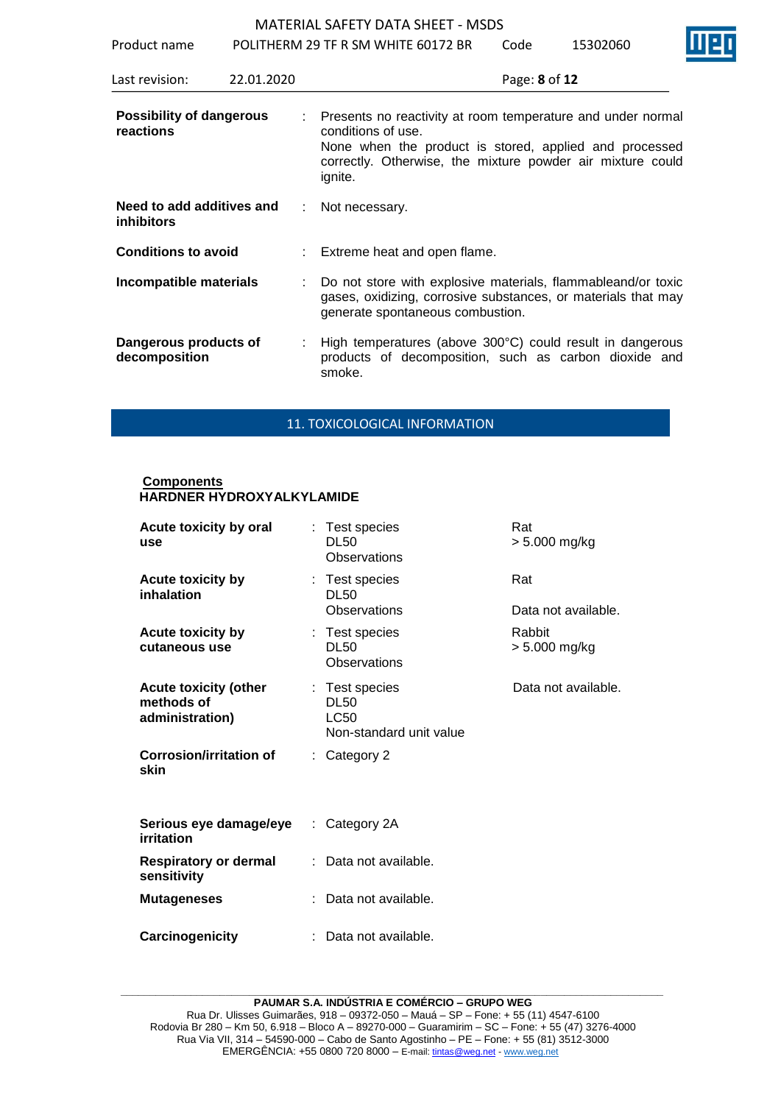Product name POLITHERM 29 TF R SM WHITE 60172 BR Code 15302060

| Last revision:                                 | 22.01.2020 |      | Page: 8 of 12                                                                                                                                                                                                        |
|------------------------------------------------|------------|------|----------------------------------------------------------------------------------------------------------------------------------------------------------------------------------------------------------------------|
| <b>Possibility of dangerous</b><br>reactions   |            | t in | Presents no reactivity at room temperature and under normal<br>conditions of use.<br>None when the product is stored, applied and processed<br>correctly. Otherwise, the mixture powder air mixture could<br>ignite. |
| Need to add additives and<br><i>inhibitors</i> |            |      | Not necessary.                                                                                                                                                                                                       |
| <b>Conditions to avoid</b>                     |            |      | Extreme heat and open flame.                                                                                                                                                                                         |
| Incompatible materials                         |            | ÷    | Do not store with explosive materials, flammableand/or toxic<br>gases, oxidizing, corrosive substances, or materials that may<br>generate spontaneous combustion.                                                    |
| Dangerous products of<br>decomposition         |            |      | High temperatures (above 300°C) could result in dangerous<br>products of decomposition, such as carbon dioxide and<br>smoke.                                                                                         |

# 11. TOXICOLOGICAL INFORMATION

#### **Components HARDNER HYDROXYALKYLAMIDE**

| Acute toxicity by oral<br>use                                 |    | : Test species<br><b>DL50</b><br>Observations                           | Rat<br>> 5.000 mg/kg       |
|---------------------------------------------------------------|----|-------------------------------------------------------------------------|----------------------------|
| Acute toxicity by<br>inhalation                               |    | : Test species<br>DL50<br>Observations                                  | Rat<br>Data not available. |
|                                                               |    |                                                                         |                            |
| <b>Acute toxicity by</b><br>cutaneous use                     |    | : Test species<br><b>DL50</b><br>Observations                           | Rabbit<br>> 5.000 mg/kg    |
| <b>Acute toxicity (other</b><br>methods of<br>administration) |    | : Test species<br><b>DL50</b><br><b>LC50</b><br>Non-standard unit value | Data not available.        |
| <b>Corrosion/irritation of</b><br>skin                        |    | : Category 2                                                            |                            |
| Serious eye damage/eye<br>irritation                          | t. | Category 2A                                                             |                            |
| Respiratory or dermal<br>sensitivity                          |    | Data not available.                                                     |                            |
| <b>Mutageneses</b>                                            |    | : Data not available.                                                   |                            |
| Carcinogenicity                                               |    | Data not available.                                                     |                            |

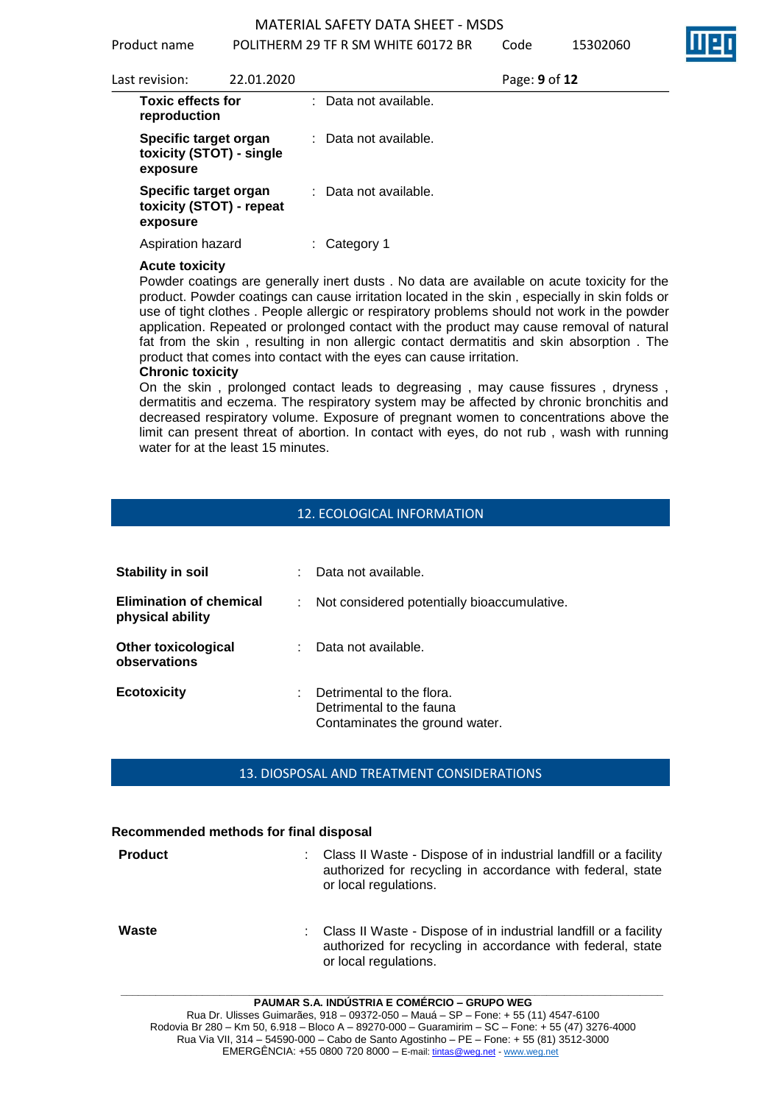Product name POLITHERM 29 TF R SM WHITE 60172 BR Code 15302060

| Last revision:                           | 22.01.2020               | Page: 9 of 12                                                                                                                                                                                 |
|------------------------------------------|--------------------------|-----------------------------------------------------------------------------------------------------------------------------------------------------------------------------------------------|
| <b>Toxic effects for</b><br>reproduction |                          | : Data not available.                                                                                                                                                                         |
| Specific target organ<br>exposure        | toxicity (STOT) - single | : Data not available.                                                                                                                                                                         |
| Specific target organ<br>exposure        | toxicity (STOT) - repeat | : Data not available.                                                                                                                                                                         |
| Aspiration hazard                        |                          | $:$ Category 1                                                                                                                                                                                |
| <b>Acute toxicity</b>                    |                          | Powder coatings are generally inert dusts . No data are available on acute toxicity for the<br>product. Powder coatings can cause irritation located in the skin, especially in skin folds or |

use of tight clothes . People allergic or respiratory problems should not work in the powder application. Repeated or prolonged contact with the product may cause removal of natural fat from the skin , resulting in non allergic contact dermatitis and skin absorption . The product that comes into contact with the eyes can cause irritation.

#### **Chronic toxicity**

On the skin , prolonged contact leads to degreasing , may cause fissures , dryness , dermatitis and eczema. The respiratory system may be affected by chronic bronchitis and decreased respiratory volume. Exposure of pregnant women to concentrations above the limit can present threat of abortion. In contact with eyes, do not rub , wash with running water for at the least 15 minutes.

# 12. ECOLOGICAL INFORMATION

| <b>Stability in soil</b>                           |   | Data not available.                                                                     |
|----------------------------------------------------|---|-----------------------------------------------------------------------------------------|
| <b>Elimination of chemical</b><br>physical ability |   | Not considered potentially bioaccumulative.                                             |
| <b>Other toxicological</b><br>observations         |   | Data not available.                                                                     |
| <b>Ecotoxicity</b>                                 | ÷ | Detrimental to the flora.<br>Detrimental to the fauna<br>Contaminates the ground water. |

# 13. DIOSPOSAL AND TREATMENT CONSIDERATIONS

#### **Recommended methods for final disposal**

| <b>Product</b> | : Class II Waste - Dispose of in industrial landfill or a facility<br>authorized for recycling in accordance with federal, state<br>or local regulations. |
|----------------|-----------------------------------------------------------------------------------------------------------------------------------------------------------|
| Waste          | : Class II Waste - Dispose of in industrial landfill or a facility<br>authorized for recycling in accordance with federal, state<br>or local regulations. |

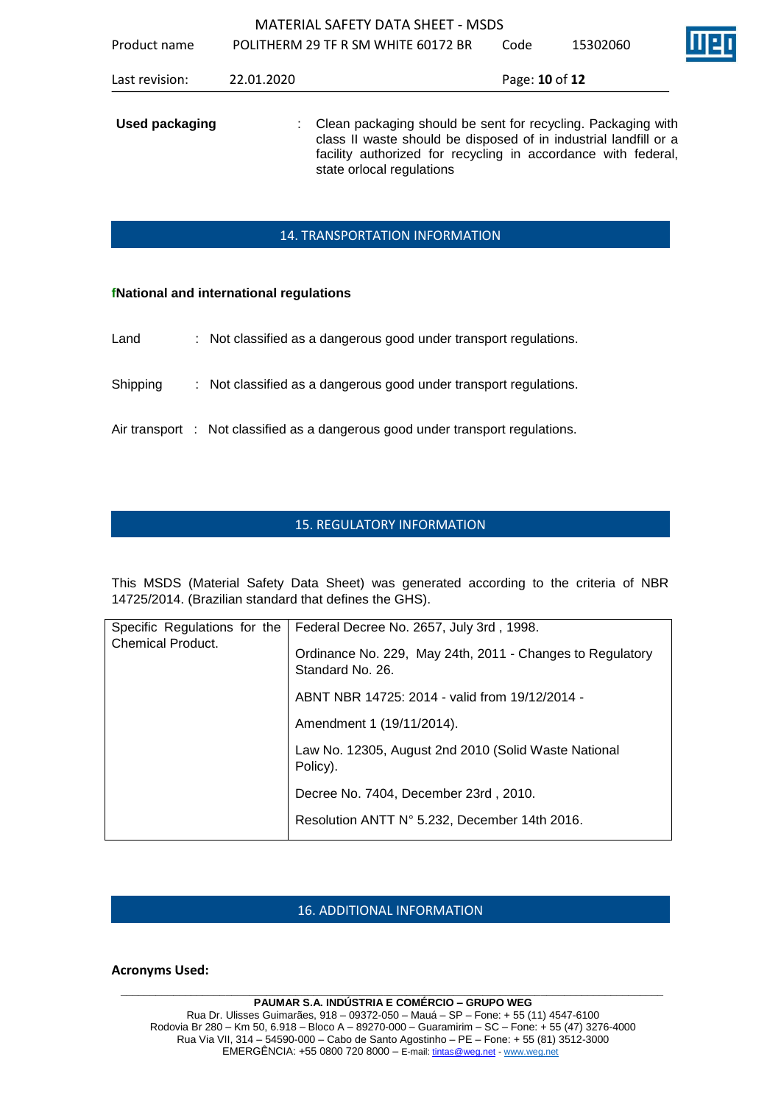|                       |            | <b>MATERIAL SAFETY DATA SHEET - MSDS</b>                                                                                                                                                                                         |                |          |  |
|-----------------------|------------|----------------------------------------------------------------------------------------------------------------------------------------------------------------------------------------------------------------------------------|----------------|----------|--|
| Product name          |            | POLITHERM 29 TF R SM WHITE 60172 BR                                                                                                                                                                                              | Code           | 15302060 |  |
| Last revision:        | 22.01.2020 |                                                                                                                                                                                                                                  | Page: 10 of 12 |          |  |
| <b>Used packaging</b> |            | : Clean packaging should be sent for recycling. Packaging with<br>class II waste should be disposed of in industrial landfill or a<br>facility authorized for recycling in accordance with federal,<br>state orlocal regulations |                |          |  |

# 14. TRANSPORTATION INFORMATION

## **fNational and international regulations**

- Land : Not classified as a dangerous good under transport regulations.
- Shipping : Not classified as a dangerous good under transport regulations.
- Air transport : Not classified as a dangerous good under transport regulations.

# 15. REGULATORY INFORMATION

This MSDS (Material Safety Data Sheet) was generated according to the criteria of NBR 14725/2014. (Brazilian standard that defines the GHS).

| <b>Chemical Product.</b> | Specific Regulations for the   Federal Decree No. 2657, July 3rd, 1998.       |
|--------------------------|-------------------------------------------------------------------------------|
|                          | Ordinance No. 229, May 24th, 2011 - Changes to Regulatory<br>Standard No. 26. |
|                          | ABNT NBR 14725: 2014 - valid from 19/12/2014 -                                |
|                          | Amendment 1 (19/11/2014).                                                     |
|                          | Law No. 12305, August 2nd 2010 (Solid Waste National<br>Policy).              |
|                          | Decree No. 7404, December 23rd, 2010.                                         |
|                          | Resolution ANTT N° 5.232, December 14th 2016.                                 |
|                          |                                                                               |

# 16. ADDITIONAL INFORMATION

#### **Acronyms Used:**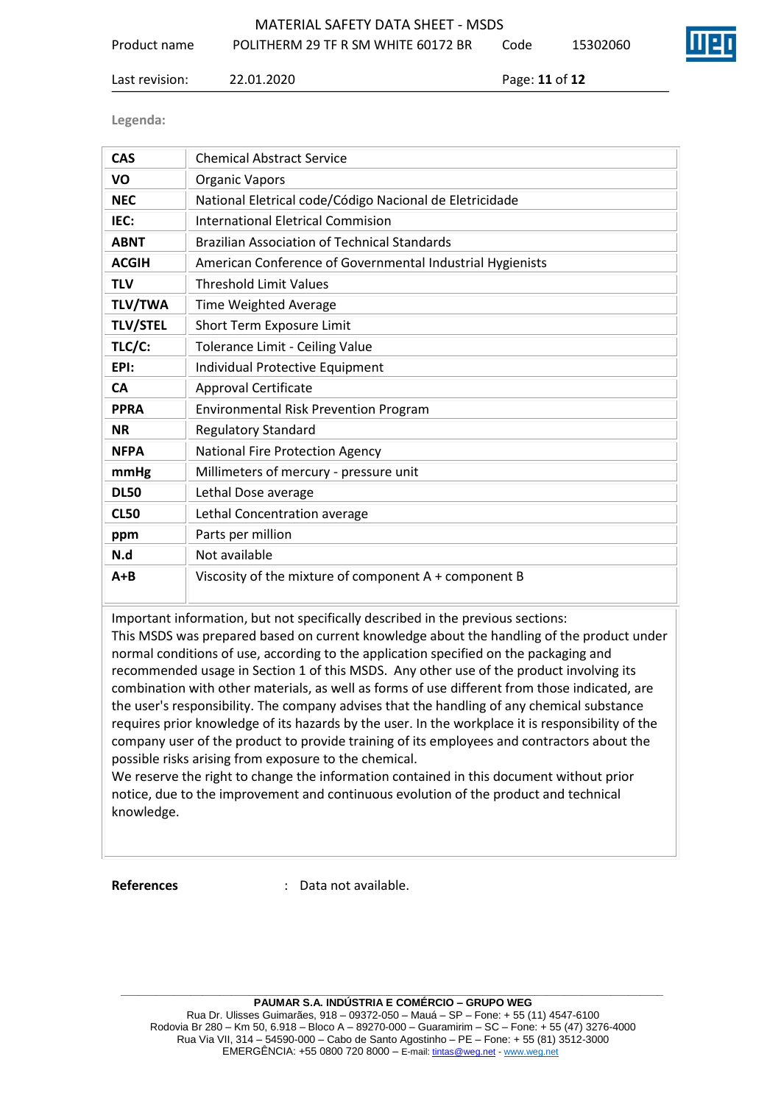Last revision: 22.01.2020 Page: **11** of **12**

**Legenda:**

| <b>CAS</b>      | <b>Chemical Abstract Service</b>                          |
|-----------------|-----------------------------------------------------------|
| VO              | <b>Organic Vapors</b>                                     |
| <b>NEC</b>      | National Eletrical code/Código Nacional de Eletricidade   |
| IEC:            | <b>International Eletrical Commision</b>                  |
| <b>ABNT</b>     | <b>Brazilian Association of Technical Standards</b>       |
| <b>ACGIH</b>    | American Conference of Governmental Industrial Hygienists |
| <b>TLV</b>      | <b>Threshold Limit Values</b>                             |
| <b>TLV/TWA</b>  | Time Weighted Average                                     |
| <b>TLV/STEL</b> | Short Term Exposure Limit                                 |
| TLC/C:          | Tolerance Limit - Ceiling Value                           |
| EPI:            | Individual Protective Equipment                           |
| <b>CA</b>       | <b>Approval Certificate</b>                               |
| <b>PPRA</b>     | Environmental Risk Prevention Program                     |
| <b>NR</b>       | <b>Regulatory Standard</b>                                |
| <b>NFPA</b>     | <b>National Fire Protection Agency</b>                    |
| mmHg            | Millimeters of mercury - pressure unit                    |
| <b>DL50</b>     | Lethal Dose average                                       |
| <b>CL50</b>     | Lethal Concentration average                              |
| ppm             | Parts per million                                         |
| N.d             | Not available                                             |
| $A + B$         | Viscosity of the mixture of component A + component B     |

Important information, but not specifically described in the previous sections:

This MSDS was prepared based on current knowledge about the handling of the product under normal conditions of use, according to the application specified on the packaging and recommended usage in Section 1 of this MSDS. Any other use of the product involving its combination with other materials, as well as forms of use different from those indicated, are the user's responsibility. The company advises that the handling of any chemical substance requires prior knowledge of its hazards by the user. In the workplace it is responsibility of the company user of the product to provide training of its employees and contractors about the possible risks arising from exposure to the chemical.

We reserve the right to change the information contained in this document without prior notice, due to the improvement and continuous evolution of the product and technical knowledge.

**References** : Data not available.